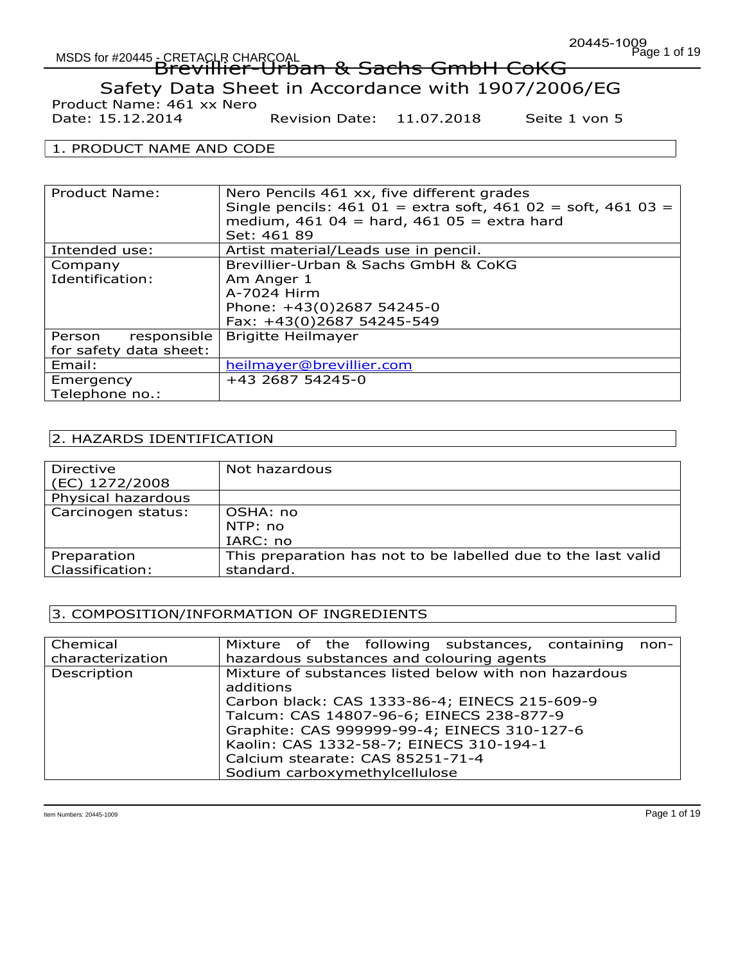Date: 15.12.2014 Revision Date: 11.07.2018 Seite 1 von 5

### 1. PRODUCT NAME AND CODE

| Product Name:          | Nero Pencils 461 xx, five different grades<br>Single pencils: $461 01 =$ extra soft, $461 02 =$ soft, $461 03 =$<br>medium, $461$ 04 = hard, $461$ 05 = extra hard<br>Set: 461 89 |
|------------------------|-----------------------------------------------------------------------------------------------------------------------------------------------------------------------------------|
| Intended use:          | Artist material/Leads use in pencil.                                                                                                                                              |
| Company                | Brevillier-Urban & Sachs GmbH & CoKG                                                                                                                                              |
| Identification:        | Am Anger 1                                                                                                                                                                        |
|                        | A-7024 Hirm                                                                                                                                                                       |
|                        | Phone: +43(0)2687 54245-0                                                                                                                                                         |
|                        | Fax: +43(0)2687 54245-549                                                                                                                                                         |
| responsible<br>Person  | <b>Brigitte Heilmayer</b>                                                                                                                                                         |
| for safety data sheet: |                                                                                                                                                                                   |
| Email:                 | heilmayer@brevillier.com                                                                                                                                                          |
| Emergency              | +43 2687 54245-0                                                                                                                                                                  |
| Telephone no.:         |                                                                                                                                                                                   |

# 2. HAZARDS IDENTIFICATION

| Directive          | Not hazardous                                                 |
|--------------------|---------------------------------------------------------------|
| (EC) 1272/2008     |                                                               |
| Physical hazardous |                                                               |
| Carcinogen status: | OSHA: no                                                      |
|                    | NTP: no                                                       |
|                    | IARC: no                                                      |
| Preparation        | This preparation has not to be labelled due to the last valid |
| Classification:    | standard.                                                     |

### 3. COMPOSITION/INFORMATION OF INGREDIENTS

| Chemical         | Mixture of the following substances, containing non-                                                                                                                                                                                                                                          |
|------------------|-----------------------------------------------------------------------------------------------------------------------------------------------------------------------------------------------------------------------------------------------------------------------------------------------|
| characterization | hazardous substances and colouring agents                                                                                                                                                                                                                                                     |
| Description      | Mixture of substances listed below with non hazardous<br>additions<br>Carbon black: CAS 1333-86-4; EINECS 215-609-9<br>Talcum: CAS 14807-96-6; EINECS 238-877-9<br>Graphite: CAS 999999-99-4; EINECS 310-127-6<br>Kaolin: CAS 1332-58-7; EINECS 310-194-1<br>Calcium stearate: CAS 85251-71-4 |
|                  | Sodium carboxymethylcellulose                                                                                                                                                                                                                                                                 |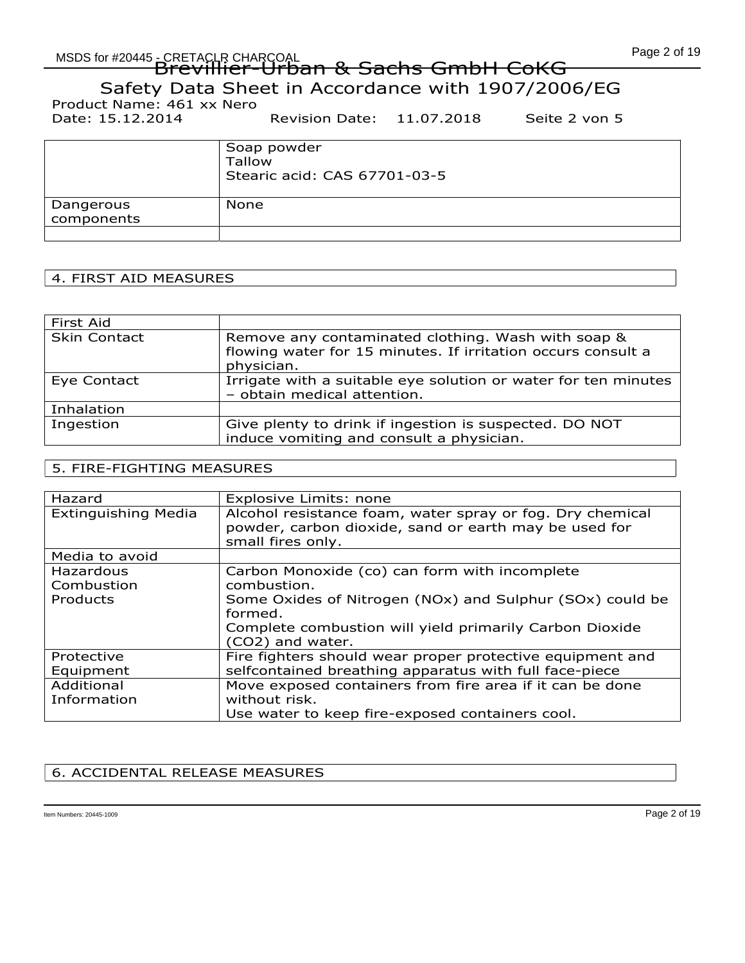Date: 15.12.2014 Revision Date: 11.07.2018 Seite 2 von 5

|                         | Soap powder<br>Tallow<br>Stearic acid: CAS 67701-03-5 |
|-------------------------|-------------------------------------------------------|
| Dangerous<br>components | None                                                  |

# 4. FIRST AID MEASURES

| First Aid           |                                                                                                                                  |
|---------------------|----------------------------------------------------------------------------------------------------------------------------------|
| <b>Skin Contact</b> | Remove any contaminated clothing. Wash with soap &<br>flowing water for 15 minutes. If irritation occurs consult a<br>physician. |
| Eye Contact         | Irrigate with a suitable eye solution or water for ten minutes<br>- obtain medical attention.                                    |
| Inhalation          |                                                                                                                                  |
| Ingestion           | Give plenty to drink if ingestion is suspected. DO NOT<br>induce vomiting and consult a physician.                               |

# 5. FIRE-FIGHTING MEASURES

| Hazard                     | Explosive Limits: none                                                                                             |
|----------------------------|--------------------------------------------------------------------------------------------------------------------|
| <b>Extinguishing Media</b> | Alcohol resistance foam, water spray or fog. Dry chemical<br>powder, carbon dioxide, sand or earth may be used for |
|                            | small fires only.                                                                                                  |
| Media to avoid             |                                                                                                                    |
| Hazardous                  | Carbon Monoxide (co) can form with incomplete                                                                      |
| Combustion                 | combustion.                                                                                                        |
| Products                   | Some Oxides of Nitrogen (NOx) and Sulphur (SOx) could be                                                           |
|                            | formed.                                                                                                            |
|                            | Complete combustion will yield primarily Carbon Dioxide                                                            |
|                            | (CO2) and water.                                                                                                   |
| Protective                 | Fire fighters should wear proper protective equipment and                                                          |
| Equipment                  | selfcontained breathing apparatus with full face-piece                                                             |
| Additional                 | Move exposed containers from fire area if it can be done                                                           |
| Information                | without risk.                                                                                                      |
|                            | Use water to keep fire-exposed containers cool.                                                                    |

# 6. ACCIDENTAL RELEASE MEASURES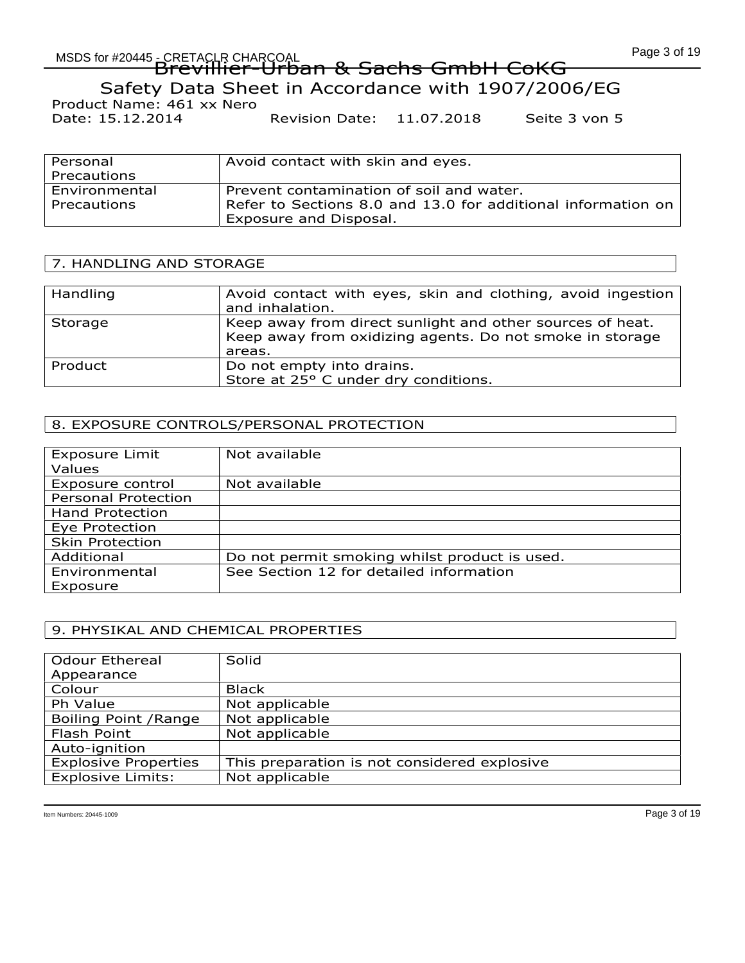Date: 15.12.2014 Revision Date: 11.07.2018 Seite 3 von 5

| Personal<br>Precautions      | Avoid contact with skin and eyes.                                                                                                  |
|------------------------------|------------------------------------------------------------------------------------------------------------------------------------|
| Environmental<br>Precautions | Prevent contamination of soil and water.<br>Refer to Sections 8.0 and 13.0 for additional information on<br>Exposure and Disposal. |

# 7. HANDLING AND STORAGE

| Handling | Avoid contact with eyes, skin and clothing, avoid ingestion<br>and inhalation.                                                  |
|----------|---------------------------------------------------------------------------------------------------------------------------------|
| Storage  | Keep away from direct sunlight and other sources of heat.<br>Keep away from oxidizing agents. Do not smoke in storage<br>areas. |
| Product  | Do not empty into drains.<br>Store at 25° C under dry conditions.                                                               |

# 8. EXPOSURE CONTROLS/PERSONAL PROTECTION

| <b>Exposure Limit</b><br>Values | Not available                                 |
|---------------------------------|-----------------------------------------------|
| Exposure control                | Not available                                 |
| <b>Personal Protection</b>      |                                               |
| <b>Hand Protection</b>          |                                               |
| Eye Protection                  |                                               |
| <b>Skin Protection</b>          |                                               |
| Additional                      | Do not permit smoking whilst product is used. |
| Environmental                   | See Section 12 for detailed information       |
| Exposure                        |                                               |

# 9. PHYSIKAL AND CHEMICAL PROPERTIES

| <b>Odour Ethereal</b>       | Solid                                        |
|-----------------------------|----------------------------------------------|
| Appearance                  |                                              |
| Colour                      | <b>Black</b>                                 |
| Ph Value                    | Not applicable                               |
| Boiling Point / Range       | Not applicable                               |
| Flash Point                 | Not applicable                               |
| Auto-ignition               |                                              |
| <b>Explosive Properties</b> | This preparation is not considered explosive |
| <b>Explosive Limits:</b>    | Not applicable                               |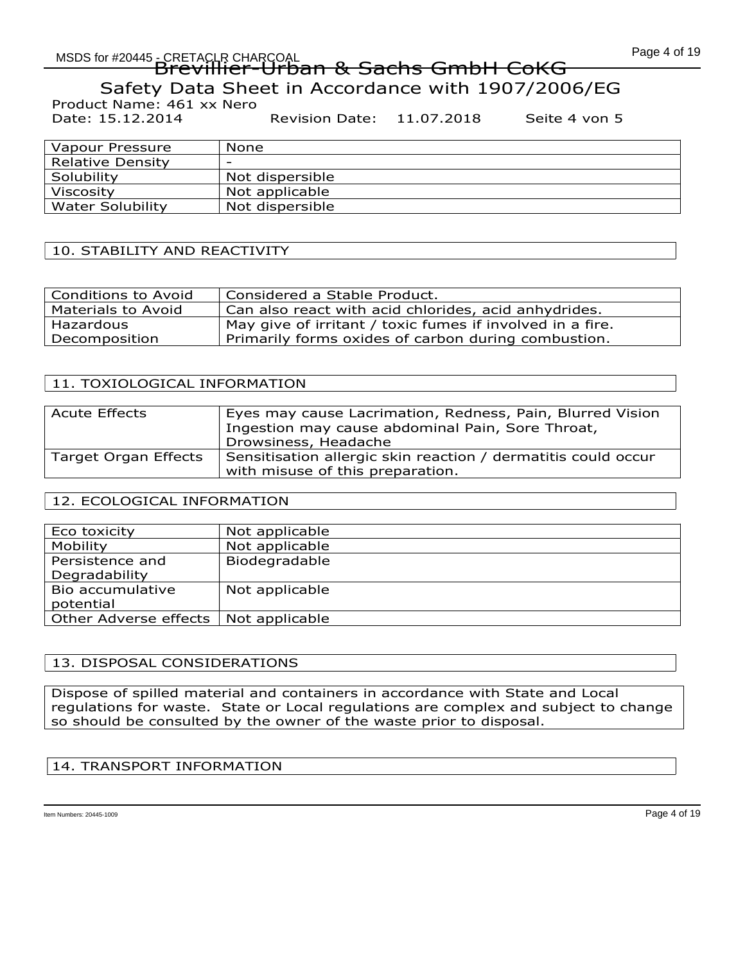# MSDS for #20445 - CRETACLR CHARCOAL CORPORATION CONTROL CONTROL CONTROL CONTROL CONTROL CONTROL CONTROL CONTRO EREIAUR CHARGOAL<br>Brevillier-Urban & Sachs GmbH CoKG

Safety Data Sheet in Accordance with 1907/2006/EG Product Name: 461 xx Nero

Date: 15.12.2014 Revision Date: 11.07.2018 Seite 4 von 5

| Vapour Pressure         | None                     |
|-------------------------|--------------------------|
| <b>Relative Density</b> | $\overline{\phantom{0}}$ |
| Solubility              | Not dispersible          |
| Viscosity               | Not applicable           |
| <b>Water Solubility</b> | Not dispersible          |
|                         |                          |

# 10. STABILITY AND REACTIVITY

| <b>Conditions to Avoid</b> | Considered a Stable Product.                              |
|----------------------------|-----------------------------------------------------------|
| Materials to Avoid         | Can also react with acid chlorides, acid anhydrides.      |
| Hazardous                  | May give of irritant / toxic fumes if involved in a fire. |
| Decomposition              | Primarily forms oxides of carbon during combustion.       |

# 11. TOXIOLOGICAL INFORMATION

| <b>Acute Effects</b> | Eyes may cause Lacrimation, Redness, Pain, Blurred Vision<br>Ingestion may cause abdominal Pain, Sore Throat,<br>Drowsiness, Headache |
|----------------------|---------------------------------------------------------------------------------------------------------------------------------------|
| Target Organ Effects | Sensitisation allergic skin reaction / dermatitis could occur<br>with misuse of this preparation.                                     |

# 12. ECOLOGICAL INFORMATION

| Eco toxicity          | Not applicable |
|-----------------------|----------------|
| Mobility              | Not applicable |
| Persistence and       | Biodegradable  |
| Degradability         |                |
| Bio accumulative      | Not applicable |
| potential             |                |
| Other Adverse effects | Not applicable |

# 13. DISPOSAL CONSIDERATIONS

Dispose of spilled material and containers in accordance with State and Local regulations for waste. State or Local regulations are complex and subject to change so should be consulted by the owner of the waste prior to disposal.

# 14. TRANSPORT INFORMATION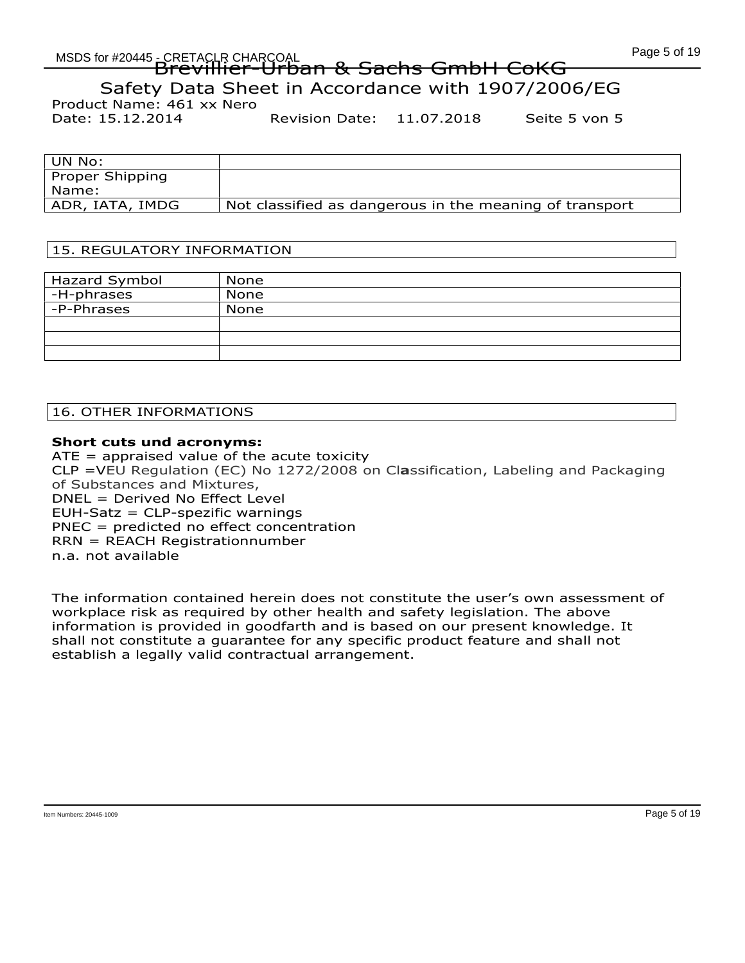Product Name: 461 xx Nero

Date: 15.12.2014 Revision Date: 11.07.2018 Seite 5 von 5

| ' UN No:         |                                                         |
|------------------|---------------------------------------------------------|
| Proper Shipping  |                                                         |
| Name:            |                                                         |
| ADR, IATA, IMDG! | Not classified as dangerous in the meaning of transport |

# 15. REGULATORY INFORMATION

| Hazard Symbol | None |
|---------------|------|
| ' -H-phrases  | None |
| -P-Phrases    | None |
|               |      |
|               |      |
|               |      |

# 16. OTHER INFORMATIONS

# Short cuts und acronyms:

 $ATE =$  appraised value of the acute toxicity CLP =VEU Regulation (EC) No 1272/2008 on Classification, Labeling and Packaging of Substances and Mixtures, DNEL = Derived No Effect Level EUH-Satz = CLP-spezific warnings PNEC = predicted no effect concentration RRN = REACH Registrationnumber n.a. not available

The information contained herein does not constitute the user's own assessment of workplace risk as required by other health and safety legislation. The above information is provided in goodfarth and is based on our present knowledge. It shall not constitute a guarantee for any specific product feature and shall not establish a legally valid contractual arrangement.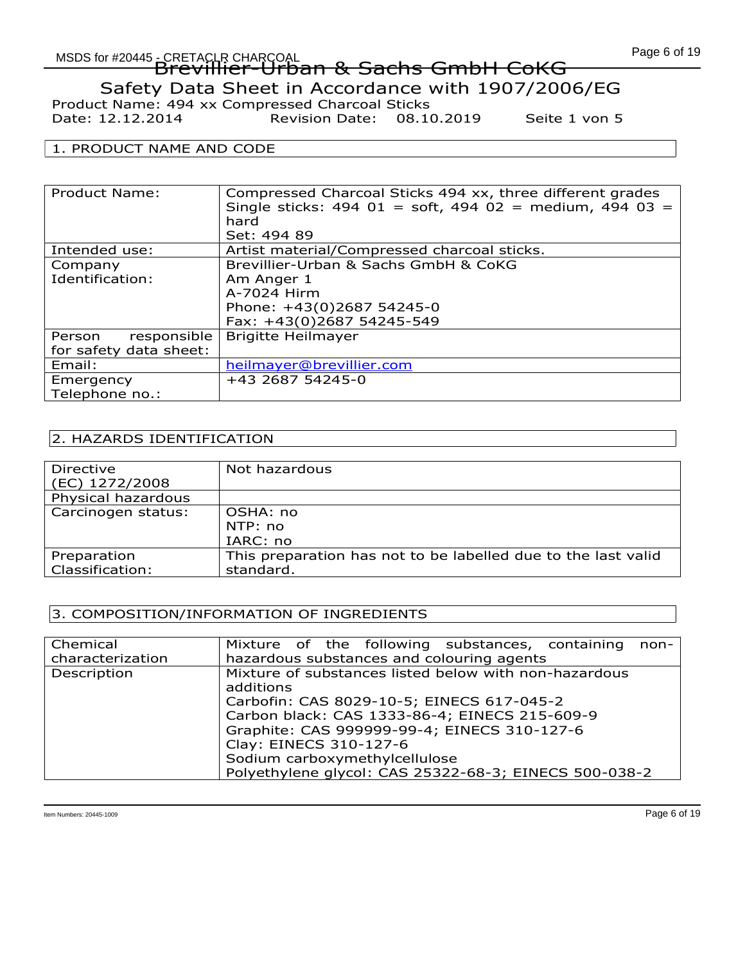# MSDS for #20445 - CRETACLR CHARCOAL CORPORATION CONTINUES OF THE CONTROL CONTROL CONTROL CONTROL CONTROL CONTR<br>CONTROL CONTROL CONTROL CONTROL CONTROL CONTROL CONTROL CONTROL CONTROL CONTROL CONTROL CONTROL CONTROL CONTRO EREIAUR CHARGOAL<br>Brevillier-Urban & Sachs GmbH CoKG

Safety Data Sheet in Accordance with 1907/2006/EG

Product Name: 494 xx Compressed Charcoal Sticks Date: 12.12.2014 Revision Date: 08.10.2019 Seite 1 von 5

### 1. PRODUCT NAME AND CODE

| Product Name:          | Compressed Charcoal Sticks 494 xx, three different grades<br>Single sticks: $494 \ 01 = \text{soft}$ , $494 \ 02 = \text{medium}$ , $494 \ 03 =$<br>hard |  |  |  |
|------------------------|----------------------------------------------------------------------------------------------------------------------------------------------------------|--|--|--|
|                        | Set: 494 89                                                                                                                                              |  |  |  |
| Intended use:          | Artist material/Compressed charcoal sticks.                                                                                                              |  |  |  |
| Company                | Brevillier-Urban & Sachs GmbH & CoKG                                                                                                                     |  |  |  |
| Identification:        | Am Anger 1                                                                                                                                               |  |  |  |
|                        | A-7024 Hirm                                                                                                                                              |  |  |  |
|                        | Phone: +43(0)2687 54245-0                                                                                                                                |  |  |  |
|                        | Fax: +43(0)2687 54245-549                                                                                                                                |  |  |  |
| responsible<br>Person  | <b>Brigitte Heilmayer</b>                                                                                                                                |  |  |  |
| for safety data sheet: |                                                                                                                                                          |  |  |  |
| Email:                 | heilmayer@brevillier.com                                                                                                                                 |  |  |  |
| Emergency              | +43 2687 54245-0                                                                                                                                         |  |  |  |
| Telephone no.:         |                                                                                                                                                          |  |  |  |

# 2. HAZARDS IDENTIFICATION

| Directive          | Not hazardous                                                 |
|--------------------|---------------------------------------------------------------|
| (EC) 1272/2008     |                                                               |
| Physical hazardous |                                                               |
| Carcinogen status: | OSHA: no                                                      |
|                    | NTP: no                                                       |
|                    | IARC: no                                                      |
| Preparation        | This preparation has not to be labelled due to the last valid |
| Classification:    | standard.                                                     |
|                    |                                                               |

# 3. COMPOSITION/INFORMATION OF INGREDIENTS

| Chemical         | Mixture of the following substances, containing non-  |  |  |  |  |
|------------------|-------------------------------------------------------|--|--|--|--|
| characterization | hazardous substances and colouring agents             |  |  |  |  |
| Description      | Mixture of substances listed below with non-hazardous |  |  |  |  |
|                  | additions                                             |  |  |  |  |
|                  | Carbofin: CAS 8029-10-5; EINECS 617-045-2             |  |  |  |  |
|                  | Carbon black: CAS 1333-86-4; EINECS 215-609-9         |  |  |  |  |
|                  | Graphite: CAS 999999-99-4; EINECS 310-127-6           |  |  |  |  |
|                  | Clay: EINECS 310-127-6                                |  |  |  |  |
|                  | Sodium carboxymethylcellulose                         |  |  |  |  |
|                  | Polyethylene glycol: CAS 25322-68-3; EINECS 500-038-2 |  |  |  |  |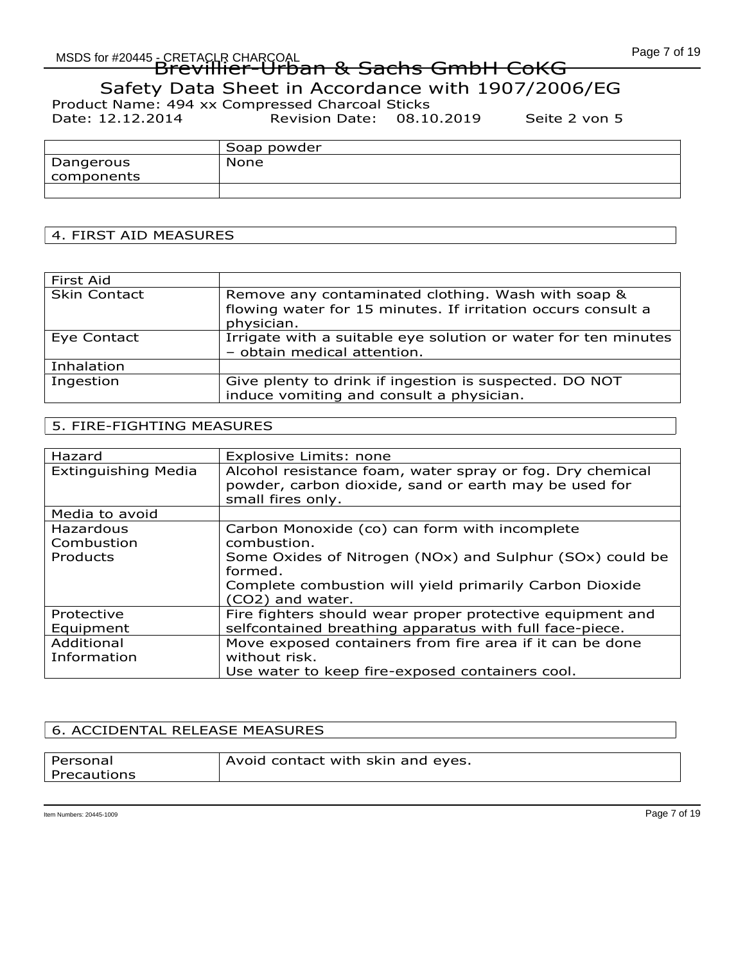# MSDS for #20445 - CRETACLR CHARCOAL CORPORATION CONTROL CONTROL CONTROL CONTROL CONTROL CONTROL CONTROL CONTRO EREIAUR CHARGOAL<br>Brevillier-Urban & Sachs GmbH CoKG

Safety Data Sheet in Accordance with 1907/2006/EG

Product Name: 494 xx Compressed Charcoal Sticks<br>Date: 12.12.2014 Revision Date: 08.10

Revision Date: 08.10.2019 Seite 2 von 5

|            | Soap powder |
|------------|-------------|
| Dangerous  | None        |
| components |             |
|            |             |

# 4. FIRST AID MEASURES

| First Aid           |                                                                                                                                  |
|---------------------|----------------------------------------------------------------------------------------------------------------------------------|
| <b>Skin Contact</b> | Remove any contaminated clothing. Wash with soap &<br>flowing water for 15 minutes. If irritation occurs consult a<br>physician. |
| Eye Contact         | Irrigate with a suitable eye solution or water for ten minutes<br>- obtain medical attention.                                    |
| Inhalation          |                                                                                                                                  |
| Ingestion           | Give plenty to drink if ingestion is suspected. DO NOT<br>induce vomiting and consult a physician.                               |

# 5. FIRE-FIGHTING MEASURES

| Hazard                              | Explosive Limits: none                                                                                                                                                                                             |
|-------------------------------------|--------------------------------------------------------------------------------------------------------------------------------------------------------------------------------------------------------------------|
| <b>Extinguishing Media</b>          | Alcohol resistance foam, water spray or fog. Dry chemical<br>powder, carbon dioxide, sand or earth may be used for<br>small fires only.                                                                            |
| Media to avoid                      |                                                                                                                                                                                                                    |
| Hazardous<br>Combustion<br>Products | Carbon Monoxide (co) can form with incomplete<br>combustion.<br>Some Oxides of Nitrogen (NOx) and Sulphur (SOx) could be<br>formed.<br>Complete combustion will yield primarily Carbon Dioxide<br>(CO2) and water. |
| Protective<br>Equipment             | Fire fighters should wear proper protective equipment and<br>selfcontained breathing apparatus with full face-piece.                                                                                               |
| Additional<br>Information           | Move exposed containers from fire area if it can be done<br>without risk.<br>Use water to keep fire-exposed containers cool.                                                                                       |

# 6. ACCIDENTAL RELEASE MEASURES

| l Personal  | Avoid contact with skin and eyes. |
|-------------|-----------------------------------|
| Precautions |                                   |
|             |                                   |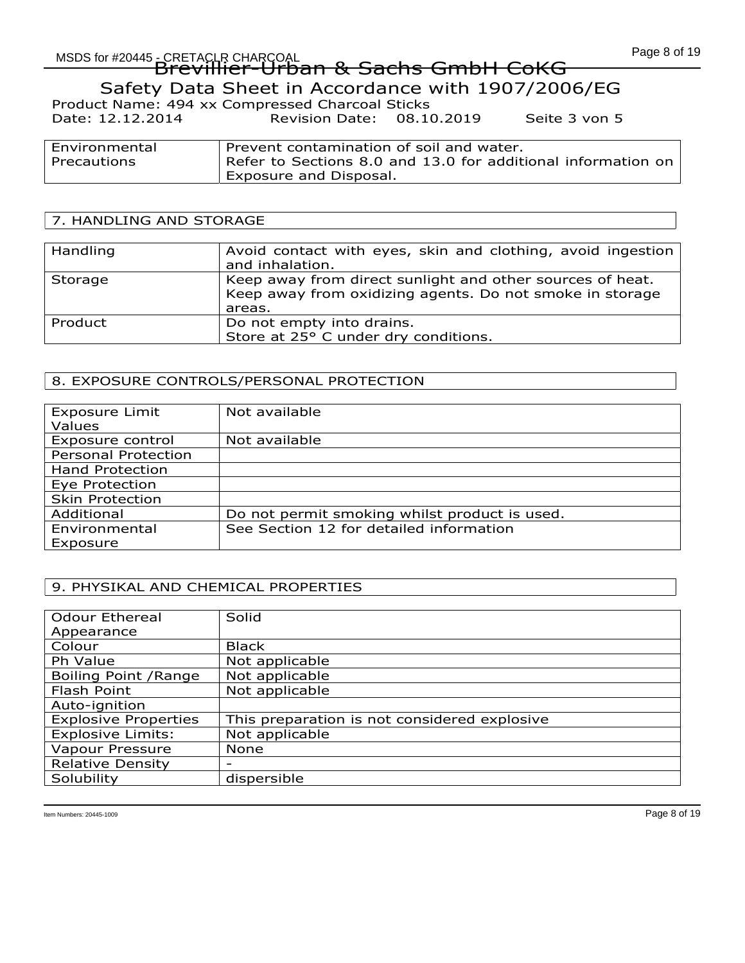# MSDS for #20445 - CRETACLR CHARCOAL CORPORATION CONTINUES OF THE CONTROL CONTROL CONTROL CONTROL CONTROL CONTR<br>CONTROL CONTROL CONTROL CONTROL CONTROL CONTROL CONTROL CONTROL CONTROL CONTROL CONTROL CONTROL CONTROL CONTRO EREIAUR CHARGOAL<br>Brevillier-Urban & Sachs GmbH CoKG

Safety Data Sheet in Accordance with 1907/2006/EG

| Product Name: 494 xx Compressed Charcoal Sticks |                           |               |
|-------------------------------------------------|---------------------------|---------------|
| Date: 12.12.2014                                | Revision Date: 08.10.2019 | Seite 3 von 5 |

| Environmental | Prevent contamination of soil and water.                     |
|---------------|--------------------------------------------------------------|
| Precautions   | Refer to Sections 8.0 and 13.0 for additional information on |
|               | Exposure and Disposal.                                       |

# 7. HANDLING AND STORAGE

| Handling | Avoid contact with eyes, skin and clothing, avoid ingestion<br>and inhalation.                                                  |
|----------|---------------------------------------------------------------------------------------------------------------------------------|
| Storage  | Keep away from direct sunlight and other sources of heat.<br>Keep away from oxidizing agents. Do not smoke in storage<br>areas. |
| Product  | Do not empty into drains.<br>Store at 25° C under dry conditions.                                                               |

# 8. EXPOSURE CONTROLS/PERSONAL PROTECTION

| Not available                                 |
|-----------------------------------------------|
| Not available                                 |
|                                               |
|                                               |
|                                               |
|                                               |
| Do not permit smoking whilst product is used. |
| See Section 12 for detailed information       |
|                                               |

# 9. PHYSIKAL AND CHEMICAL PROPERTIES

| <b>Odour Ethereal</b>       | Solid                                        |
|-----------------------------|----------------------------------------------|
| Appearance                  |                                              |
| Colour                      | <b>Black</b>                                 |
| Ph Value                    | Not applicable                               |
| Boiling Point / Range       | Not applicable                               |
| Flash Point                 | Not applicable                               |
| Auto-ignition               |                                              |
| <b>Explosive Properties</b> | This preparation is not considered explosive |
| <b>Explosive Limits:</b>    | Not applicable                               |
| Vapour Pressure             | None                                         |
| <b>Relative Density</b>     | $\overline{\phantom{0}}$                     |
| Solubility                  | dispersible                                  |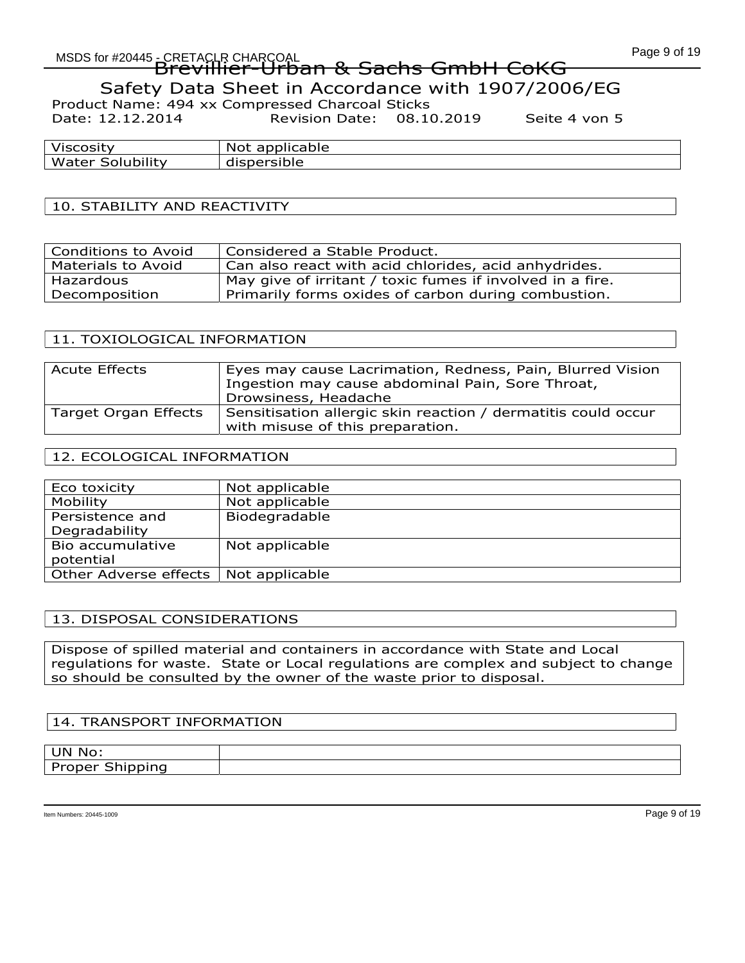# MSDS for #20445 - CRETACLR CHARCOAL CORPORATION CONTROL CONTROL CONTROL CONTROL CONTROL CONTROL CONTROL CONTRO EREIAUR CHARGOAL<br>Brevillier-Urban & Sachs GmbH CoKG

Safety Data Sheet in Accordance with 1907/2006/EG

Product Name: 494 xx Compressed Charcoal Sticks Date: 12.12.2014 Revision Date: 08.10.2019 Seite 4 von 5

| Viscosity         | N∩t<br>applicable<br>. |
|-------------------|------------------------|
| .                 | uble                   |
| Water             | disp                   |
| <b>Solubility</b> | பு                     |

# 10. STABILITY AND REACTIVITY

| <b>Conditions to Avoid</b> | Considered a Stable Product.                              |
|----------------------------|-----------------------------------------------------------|
| Materials to Avoid         | Can also react with acid chlorides, acid anhydrides.      |
| Hazardous                  | May give of irritant / toxic fumes if involved in a fire. |
| Decomposition              | Primarily forms oxides of carbon during combustion.       |

#### 11. TOXIOLOGICAL INFORMATION

| <b>Acute Effects</b> | Eyes may cause Lacrimation, Redness, Pain, Blurred Vision<br>Ingestion may cause abdominal Pain, Sore Throat,<br>Drowsiness, Headache |
|----------------------|---------------------------------------------------------------------------------------------------------------------------------------|
| Target Organ Effects | Sensitisation allergic skin reaction / dermatitis could occur<br>with misuse of this preparation.                                     |

### 12. ECOLOGICAL INFORMATION

| Eco toxicity                           | Not applicable |
|----------------------------------------|----------------|
| Mobility                               | Not applicable |
| Persistence and                        | Biodegradable  |
| Degradability                          |                |
| Bio accumulative                       | Not applicable |
| potential                              |                |
| Other Adverse effects   Not applicable |                |

# 13. DISPOSAL CONSIDERATIONS

Dispose of spilled material and containers in accordance with State and Local regulations for waste. State or Local regulations are complex and subject to change so should be consulted by the owner of the waste prior to disposal.

#### 14. TRANSPORT INFORMATION

| UN No:              |  |
|---------------------|--|
| $\sim$<br>----<br>. |  |
|                     |  |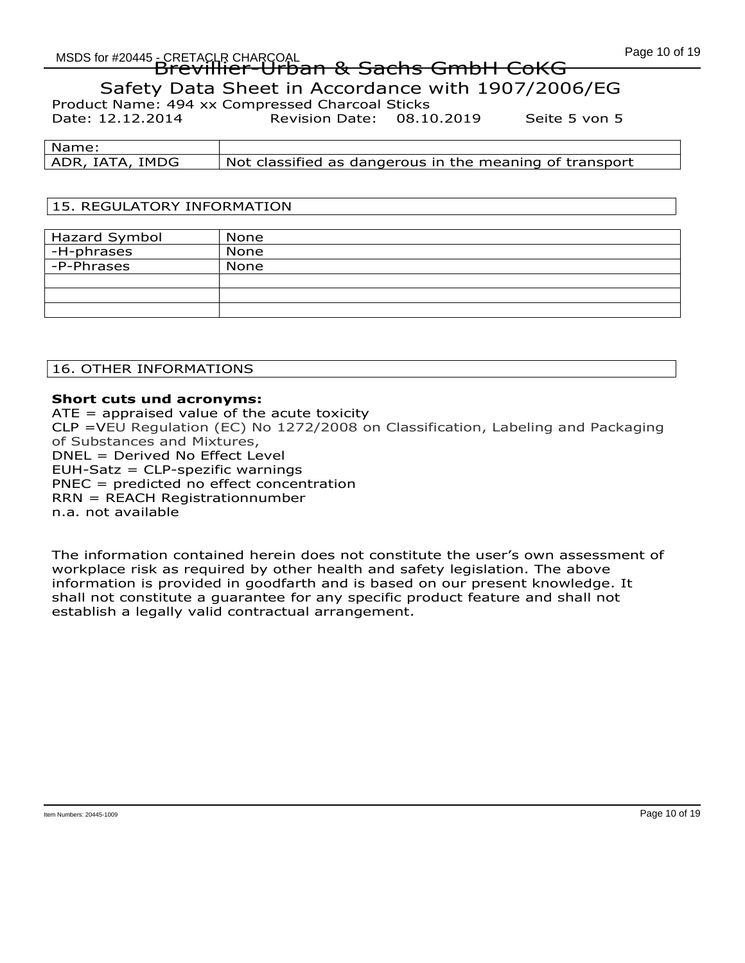# Page 10 of 19 MSDS for #20445 - CRETACLR CHARCOAL EREIAUR CHARGOAL<br>Brevillier-Urban & Sachs GmbH CoKG Safety Data Sheet in Accordance with 1907/2006/EG Product Name: 494 xx Compressed Charcoal Sticks

Date: 12.12.2014 Revision Date: 08.10.2019 Seite 5 von 5

| Name:           |                                                         |
|-----------------|---------------------------------------------------------|
| ADR, IATA, IMDG | Not classified as dangerous in the meaning of transport |

# 15. REGULATORY INFORMATION

| Hazard Symbol | None |
|---------------|------|
| ' -H-phrases  | None |
| -P-Phrases    | None |
|               |      |
|               |      |
|               |      |

16. OTHER INFORMATIONS

# Short cuts und acronyms:

 $ATE =$  appraised value of the acute toxicity CLP =VEU Regulation (EC) No 1272/2008 on Classification, Labeling and Packaging of Substances and Mixtures, DNEL = Derived No Effect Level EUH-Satz = CLP-spezific warnings PNEC = predicted no effect concentration RRN = REACH Registrationnumber n.a. not available

The information contained herein does not constitute the user's own assessment of workplace risk as required by other health and safety legislation. The above information is provided in goodfarth and is based on our present knowledge. It shall not constitute a guarantee for any specific product feature and shall not establish a legally valid contractual arrangement.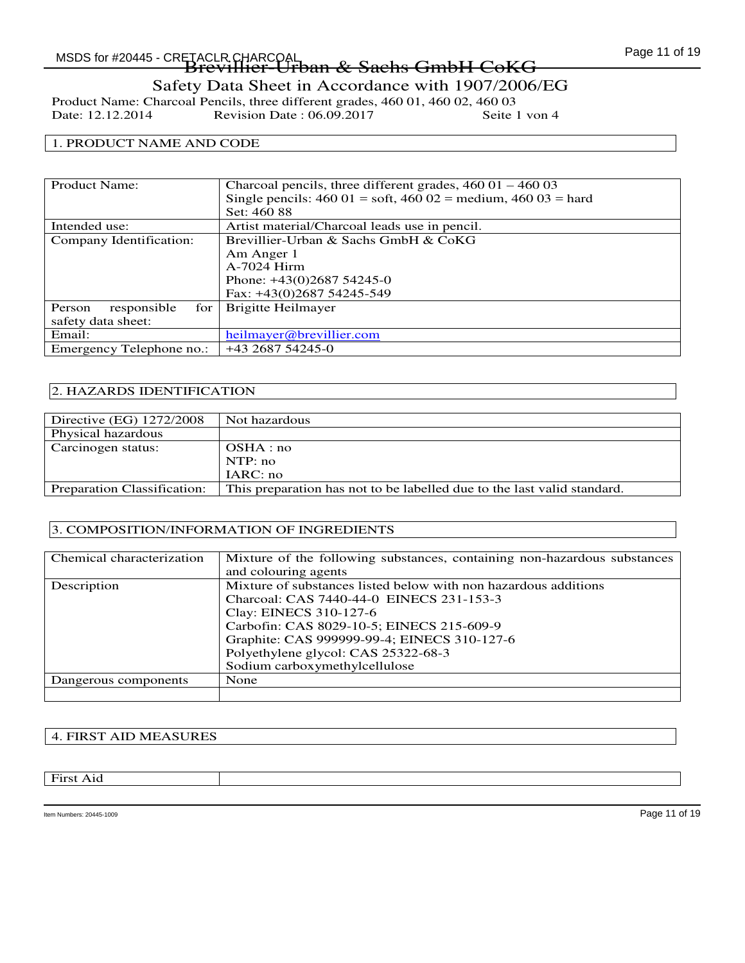# Safety Data Sheet in Accordance with 1907/2006/EG

Product Name: Charcoal Pencils, three different grades, 460 01, 460 02, 460 03<br>Date: 12.12.2014 Revision Date: 06.09.2017 Seite 1 von 4 Revision Date :  $06.09.2017$ 

#### 1. PRODUCT NAME AND CODE

| Product Name:                | Charcoal pencils, three different grades, $46001 - 46003$                                     |
|------------------------------|-----------------------------------------------------------------------------------------------|
|                              | Single pencils: $460\ 01 = \text{soft}$ , $460\ 02 = \text{medium}$ , $460\ 03 = \text{hard}$ |
|                              | Set: 460 88                                                                                   |
| Intended use:                | Artist material/Charcoal leads use in pencil.                                                 |
| Company Identification:      | Brevillier-Urban & Sachs GmbH & CoKG                                                          |
|                              | Am Anger 1                                                                                    |
|                              | $A-7024$ Hirm                                                                                 |
|                              | Phone: $+43(0)268754245-0$                                                                    |
|                              | Fax: +43(0)2687 54245-549                                                                     |
| for<br>responsible<br>Person | Brigitte Heilmayer                                                                            |
| safety data sheet:           |                                                                                               |
| Email:                       | heilmayer@brevillier.com                                                                      |
| Emergency Telephone no.:     | $+43268754245-0$                                                                              |

#### 2. HAZARDS IDENTIFICATION

| Directive (EG) 1272/2008    | Not hazardous                                                           |
|-----------------------------|-------------------------------------------------------------------------|
| Physical hazardous          |                                                                         |
| Carcinogen status:          | OSHA:no                                                                 |
|                             | NTP: no                                                                 |
|                             | IARC: no                                                                |
| Preparation Classification: | This preparation has not to be labelled due to the last valid standard. |

#### 3. COMPOSITION/INFORMATION OF INGREDIENTS

| Chemical characterization | Mixture of the following substances, containing non-hazardous substances |
|---------------------------|--------------------------------------------------------------------------|
|                           | and colouring agents                                                     |
| Description               | Mixture of substances listed below with non hazardous additions          |
|                           | Charcoal: CAS 7440-44-0 EINECS 231-153-3                                 |
|                           | Clay: EINECS 310-127-6                                                   |
|                           | Carbofin: CAS 8029-10-5; EINECS 215-609-9                                |
|                           | Graphite: CAS 999999-99-4; EINECS 310-127-6                              |
|                           | Polyethylene glycol: CAS 25322-68-3                                      |
|                           | Sodium carboxymethylcellulose                                            |
| Dangerous components      | None                                                                     |
|                           |                                                                          |

### 4. FIRST AID MEASURES

First Aid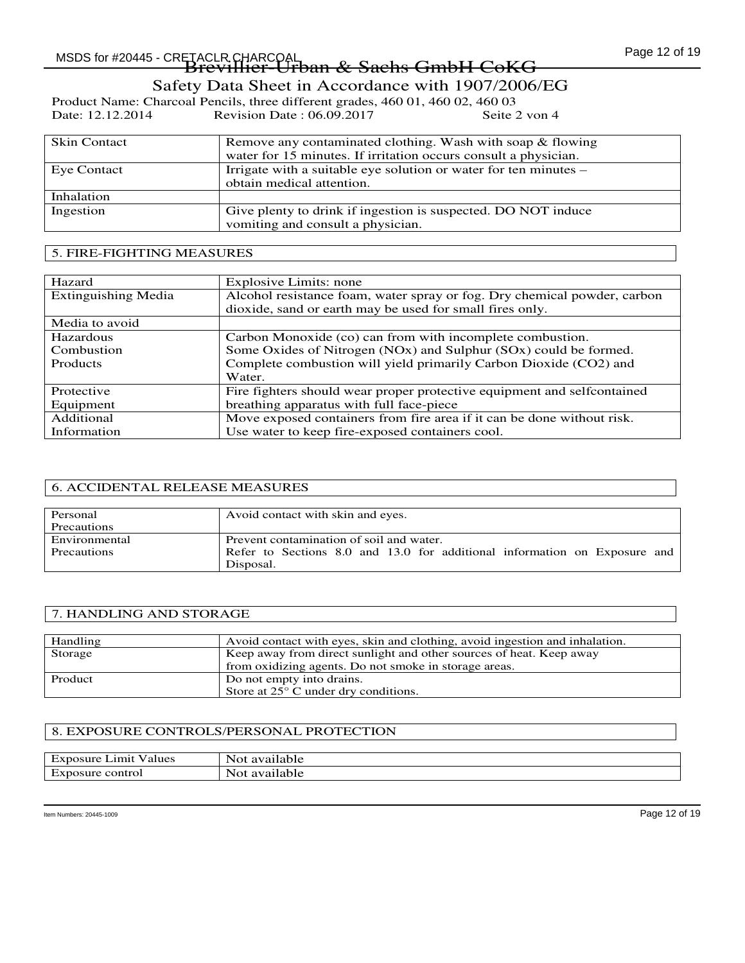# Safety Data Sheet in Accordance with 1907/2006/EG

Product Name: Charcoal Pencils, three different grades, 460 01, 460 02, 460 03<br>Date: 12.12.2014 Revision Date: 06.09.2017 Seite 2 von 4 Revision Date :  $06.09.2017$ 

| <b>Skin Contact</b> | Remove any contaminated clothing. Wash with soap & flowing<br>water for 15 minutes. If irritation occurs consult a physician. |
|---------------------|-------------------------------------------------------------------------------------------------------------------------------|
| Eye Contact         | Irrigate with a suitable eye solution or water for ten minutes –<br>obtain medical attention.                                 |
| Inhalation          |                                                                                                                               |
| Ingestion           | Give plenty to drink if ingestion is suspected. DO NOT induce<br>vomiting and consult a physician.                            |

#### 5. FIRE-FIGHTING MEASURES

| Hazard                     | Explosive Limits: none                                                   |
|----------------------------|--------------------------------------------------------------------------|
| <b>Extinguishing Media</b> | Alcohol resistance foam, water spray or fog. Dry chemical powder, carbon |
|                            | dioxide, sand or earth may be used for small fires only.                 |
| Media to avoid             |                                                                          |
| Hazardous                  | Carbon Monoxide (co) can from with incomplete combustion.                |
| Combustion                 | Some Oxides of Nitrogen (NOx) and Sulphur (SOx) could be formed.         |
| <b>Products</b>            | Complete combustion will yield primarily Carbon Dioxide (CO2) and        |
|                            | Water.                                                                   |
| Protective                 | Fire fighters should wear proper protective equipment and selfcontained  |
| Equipment                  | breathing apparatus with full face-piece                                 |
| Additional                 | Move exposed containers from fire area if it can be done without risk.   |
| Information                | Use water to keep fire-exposed containers cool.                          |

#### 6. ACCIDENTAL RELEASE MEASURES

| Personal      | Avoid contact with skin and eyes.                                                      |
|---------------|----------------------------------------------------------------------------------------|
| Precautions   |                                                                                        |
| Environmental | Prevent contamination of soil and water.                                               |
| Precautions   | Refer to Sections 8.0 and 13.0 for additional information on Exposure and<br>Disposal. |

#### 7. HANDLING AND STORAGE

| Handling | Avoid contact with eyes, skin and clothing, avoid in gestion and inhalation. |
|----------|------------------------------------------------------------------------------|
| Storage  | Keep away from direct sunlight and other sources of heat. Keep away          |
|          | from oxidizing agents. Do not smoke in storage areas.                        |
| Product  | Do not empty into drains.                                                    |
|          | Store at 25° C under dry conditions.                                         |

#### 8. EXPOSURE CONTROLS/PERSONAL PROTECTION

| $\sim$<br>Limit<br>nosure.<br>Values<br>ЕX | $\overline{\phantom{a}}$<br>Not<br>available |
|--------------------------------------------|----------------------------------------------|
| control                                    | available                                    |
| posure                                     | J∩t                                          |
| EX1                                        | 'NV.                                         |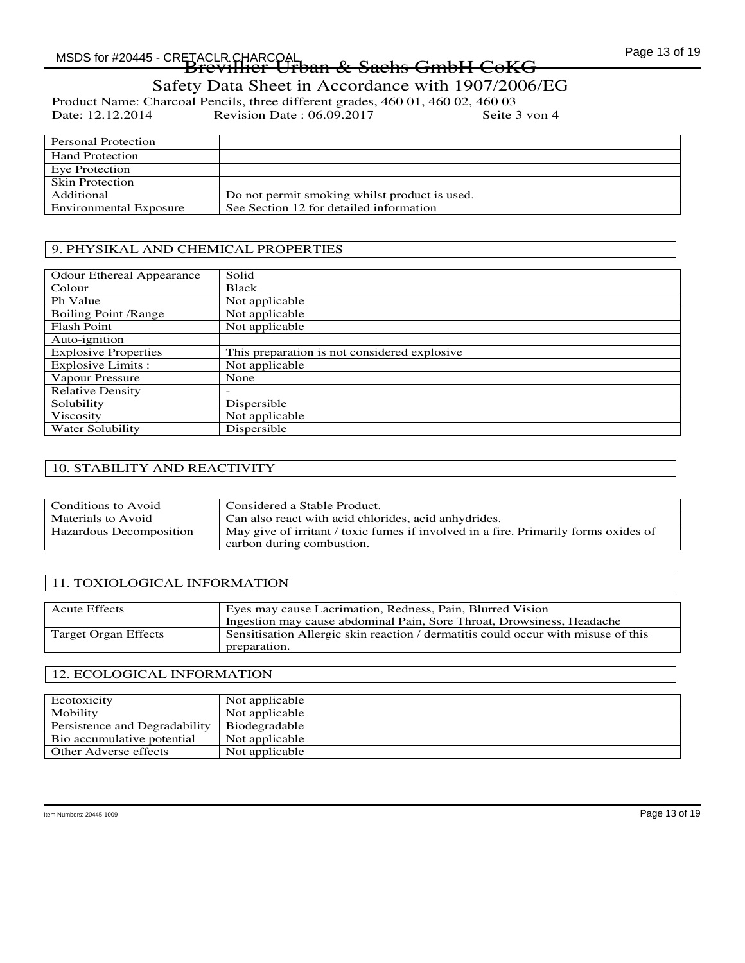# MSDS for #20445 - CRETACLR CHARCOAL COMPUTED A CONTROL CONTROL CONTROL CONTROL CONTROL CONTROL CONTROL CONTROL -TACLR CHARCOAL<br><del>Brevillier-Urban & Sachs GmbH CoKG</del>

# Safety Data Sheet in Accordance with 1907/2006/EG

Product Name: Charcoal Pencils, three different grades, 460 01, 460 02, 460 03<br>Date: 12.12.2014 Revision Date: 06.09.2017 Seite 3 von 4 Revision Date :  $06.09.2017$ 

| <b>Personal Protection</b>    |                                               |
|-------------------------------|-----------------------------------------------|
| <b>Hand Protection</b>        |                                               |
| Eye Protection                |                                               |
| <b>Skin Protection</b>        |                                               |
| Additional                    | Do not permit smoking whilst product is used. |
| <b>Environmental Exposure</b> | See Section 12 for detailed information       |

### 9. PHYSIKAL AND CHEMICAL PROPERTIES

| <b>Odour Ethereal Appearance</b> | Solid                                        |
|----------------------------------|----------------------------------------------|
| Colour                           | Black                                        |
| Ph Value                         | Not applicable                               |
| <b>Boiling Point /Range</b>      | Not applicable                               |
| <b>Flash Point</b>               | Not applicable                               |
| Auto-ignition                    |                                              |
| <b>Explosive Properties</b>      | This preparation is not considered explosive |
| Explosive Limits :               | Not applicable                               |
| Vapour Pressure                  | None                                         |
| <b>Relative Density</b>          |                                              |
| Solubility                       | Dispersible                                  |
| Viscosity                        | Not applicable                               |
| Water Solubility                 | Dispersible                                  |

#### 10. STABILITY AND REACTIVITY

| Conditions to Avoid     | Considered a Stable Product.                                                        |
|-------------------------|-------------------------------------------------------------------------------------|
| Materials to Avoid      | Can also react with acid chlorides, acid anhydrides.                                |
| Hazardous Decomposition | May give of irritant / toxic fumes if involved in a fire. Primarily forms oxides of |
|                         | carbon during combustion.                                                           |

#### 11. TOXIOLOGICAL INFORMATION

| <b>Acute Effects</b> | Eyes may cause Lacrimation, Redness, Pain, Blurred Vision                         |
|----------------------|-----------------------------------------------------------------------------------|
|                      | Ingestion may cause abdominal Pain, Sore Throat, Drowsiness, Headache             |
| Target Organ Effects | Sensitisation Allergic skin reaction / dermatitis could occur with misuse of this |
|                      | preparation.                                                                      |

#### 12. ECOLOGICAL INFORMATION

| Ecotoxicity                   | Not applicable |
|-------------------------------|----------------|
| Mobility                      | Not applicable |
| Persistence and Degradability | Biodegradable  |
| Bio accumulative potential    | Not applicable |
| Other Adverse effects         | Not applicable |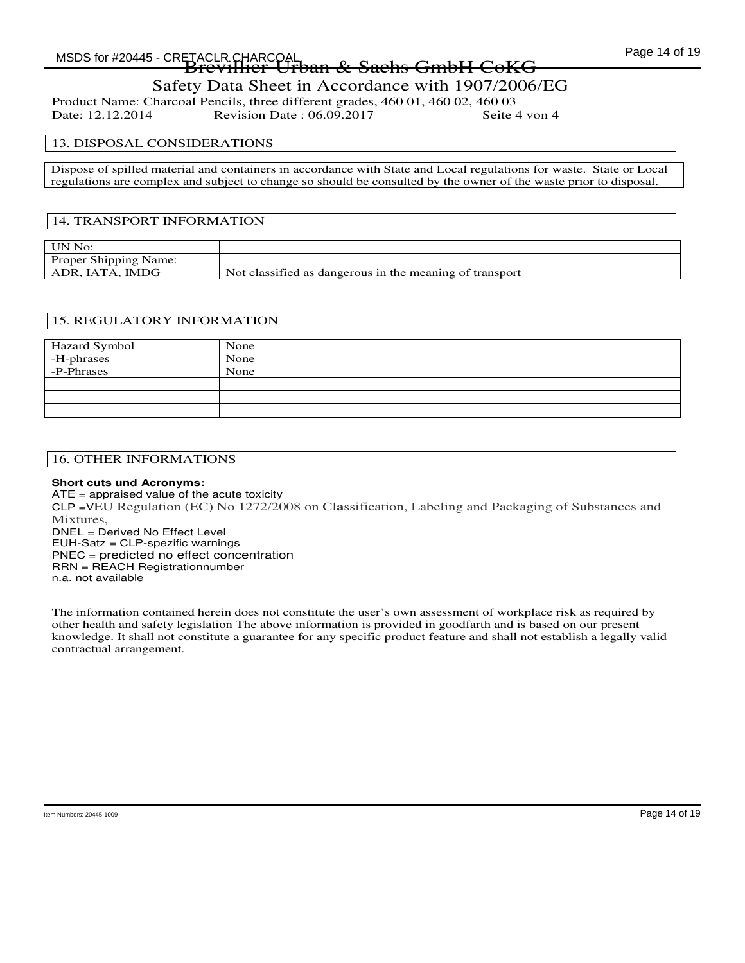# MSDS for #20445 - CRETACLR CHARCOAL COMPUTED A CONTROL CONTROL CONTROL CHARGO Page 14 of 19 -TACLR CHARCOAL<br><del>Brevillier-Urban & Sachs GmbH CoKG</del>

# Safety Data Sheet in Accordance with 1907/2006/EG

Product Name: Charcoal Pencils, three different grades, 460 01, 460 02, 460 03 Revision Date : 06.09.2017

#### 13. DISPOSAL CONSIDERATIONS

Dispose of spilled material and containers in accordance with State and Local regulations for waste. State or Local regulations are complex and subject to change so should be consulted by the owner of the waste prior to disposal.

#### 14. TRANSPORT INFORMATION

| <b>UN No:</b>         |                                                         |
|-----------------------|---------------------------------------------------------|
| Proper Shipping Name: |                                                         |
| ADR, IATA, IMDG       | Not classified as dangerous in the meaning of transport |

#### 15. REGULATORY INFORMATION

| Hazard Symbol | None |
|---------------|------|
| -H-phrases    | None |
| -P-Phrases    | None |
|               |      |
|               |      |
|               |      |

#### 16. OTHER INFORMATIONS

#### **Short cuts und Acronyms:**

ATE = appraised value of the acute toxicity CLP =VEU Regulation (EC) No 1272/2008 on Cl**a**ssification, Labeling and Packaging of Substances and Mixtures, DNEL = Derived No Effect Level EUH-Satz = CLP-spezific warnings PNEC = predicted no effect concentration RRN = REACH Registrationnumber n.a. not available

The information contained herein does not constitute the user's own assessment of workplace risk as required by other health and safety legislation The above information is provided in goodfarth and is based on our present knowledge. It shall not constitute a guarantee for any specific product feature and shall not establish a legally valid contractual arrangement.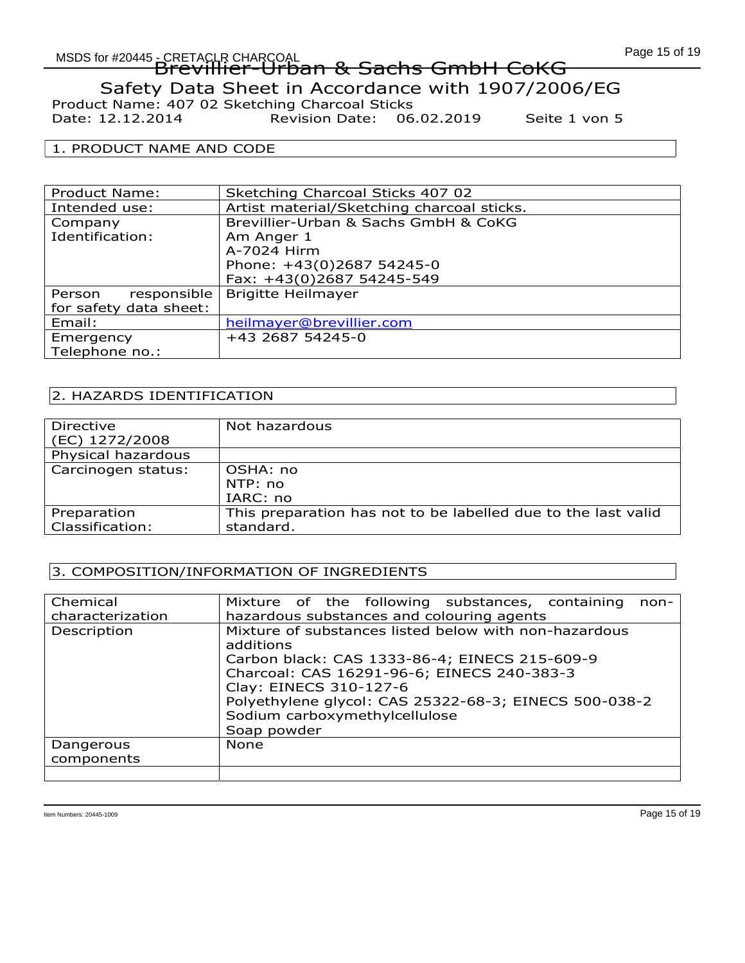# Page 15 of 19<br>MSDS for #20445 - CRETACLR CHARCOAL COMPANY COMPUTER OF THE COMPUTER OF THE COMPUTER OF THE COMPUTER OF THE CO EREIAUR CHARGOAL<br>Brevillier-Urban & Sachs GmbH CoKG Safety Data Sheet in Accordance with 1907/2006/EG Product Name: 407 02 Sketching Charcoal Sticks

Date: 12.12.2014 Revision Date: 06.02.2019 Seite 1 von 5

#### 1. PRODUCT NAME AND CODE

| Product Name:          | Sketching Charcoal Sticks 407 02           |
|------------------------|--------------------------------------------|
| Intended use:          | Artist material/Sketching charcoal sticks. |
| Company                | Brevillier-Urban & Sachs GmbH & CoKG       |
| Identification:        | Am Anger 1                                 |
|                        | A-7024 Hirm                                |
|                        | Phone: +43(0)2687 54245-0                  |
|                        | Fax: +43(0)2687 54245-549                  |
| responsible<br>Person  | <b>Brigitte Heilmayer</b>                  |
| for safety data sheet: |                                            |
| Email:                 | heilmayer@brevillier.com                   |
| Emergency              | +43 2687 54245-0                           |
| Telephone no.:         |                                            |

# 2. HAZARDS IDENTIFICATION

| Directive          | Not hazardous                                                 |
|--------------------|---------------------------------------------------------------|
| (EC) 1272/2008     |                                                               |
| Physical hazardous |                                                               |
| Carcinogen status: | OSHA: no                                                      |
|                    | NTP: no                                                       |
|                    | IARC: no                                                      |
| Preparation        | This preparation has not to be labelled due to the last valid |
| Classification:    | standard.                                                     |

# 3. COMPOSITION/INFORMATION OF INGREDIENTS

| Chemical<br>characterization | Mixture of the following substances, containing<br>$non-$<br>hazardous substances and colouring agents                                                                                                                                                                                               |
|------------------------------|------------------------------------------------------------------------------------------------------------------------------------------------------------------------------------------------------------------------------------------------------------------------------------------------------|
| Description                  | Mixture of substances listed below with non-hazardous<br>additions<br>Carbon black: CAS 1333-86-4; EINECS 215-609-9<br>Charcoal: CAS 16291-96-6; EINECS 240-383-3<br>Clay: EINECS 310-127-6<br>Polyethylene glycol: CAS 25322-68-3; EINECS 500-038-2<br>Sodium carboxymethylcellulose<br>Soap powder |
| Dangerous<br>components      | <b>None</b>                                                                                                                                                                                                                                                                                          |
|                              |                                                                                                                                                                                                                                                                                                      |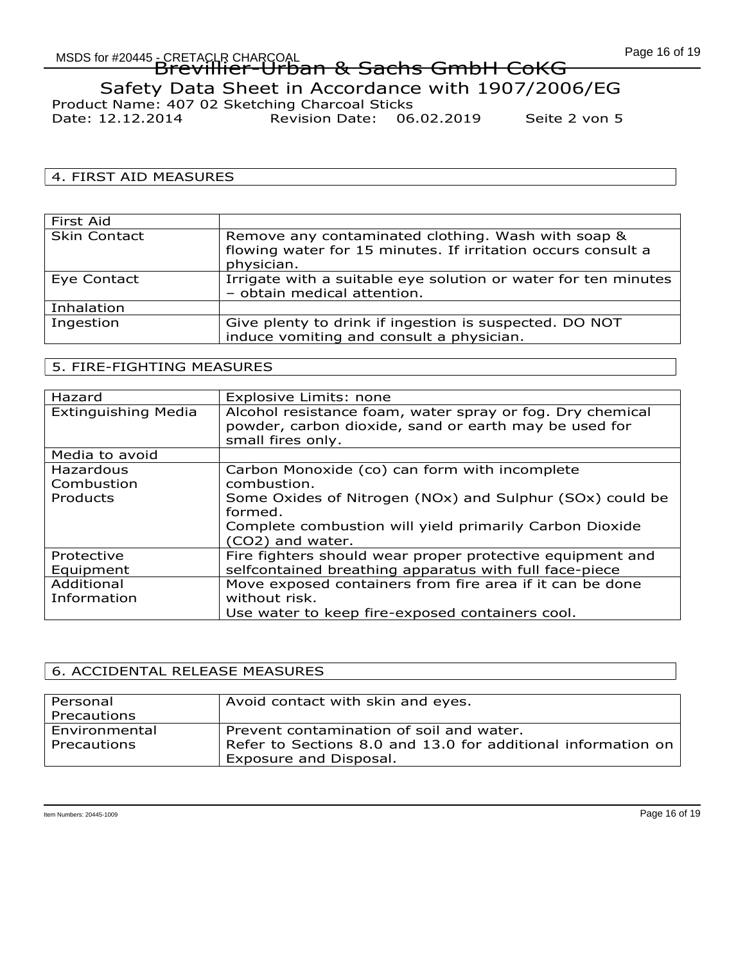# Page 16 of 19 MSDS for #20445 - CRETACLR CHARCOAL EREIAUR CHARGOAL<br>Brevillier-Urban & Sachs GmbH CoKG Safety Data Sheet in Accordance with 1907/2006/EG Product Name: 407 02 Sketching Charcoal Sticks Date: 12.12.2014 Revision Date: 06.02.2019 Seite 2 von 5

# 4. FIRST AID MEASURES

| First Aid           |                                                                                                                                  |
|---------------------|----------------------------------------------------------------------------------------------------------------------------------|
| <b>Skin Contact</b> | Remove any contaminated clothing. Wash with soap &<br>flowing water for 15 minutes. If irritation occurs consult a<br>physician. |
| Eye Contact         | Irrigate with a suitable eye solution or water for ten minutes<br>- obtain medical attention.                                    |
| Inhalation          |                                                                                                                                  |
| Ingestion           | Give plenty to drink if ingestion is suspected. DO NOT<br>induce vomiting and consult a physician.                               |

# 5. FIRE-FIGHTING MEASURES

| Hazard                     | Explosive Limits: none                                    |
|----------------------------|-----------------------------------------------------------|
| <b>Extinguishing Media</b> | Alcohol resistance foam, water spray or fog. Dry chemical |
|                            | powder, carbon dioxide, sand or earth may be used for     |
|                            | small fires only.                                         |
| Media to avoid             |                                                           |
| Hazardous                  | Carbon Monoxide (co) can form with incomplete             |
| Combustion                 | combustion.                                               |
| Products                   | Some Oxides of Nitrogen (NOx) and Sulphur (SOx) could be  |
|                            | formed.                                                   |
|                            | Complete combustion will yield primarily Carbon Dioxide   |
|                            | (CO2) and water.                                          |
| Protective                 | Fire fighters should wear proper protective equipment and |
| Equipment                  | selfcontained breathing apparatus with full face-piece    |
| Additional                 | Move exposed containers from fire area if it can be done  |
| Information                | without risk.                                             |
|                            | Use water to keep fire-exposed containers cool.           |

#### 6. ACCIDENTAL RELEASE MEASURES

| Personal      | Avoid contact with skin and eyes.                            |
|---------------|--------------------------------------------------------------|
| Precautions   |                                                              |
| Environmental | Prevent contamination of soil and water.                     |
| Precautions   | Refer to Sections 8.0 and 13.0 for additional information on |
|               | Exposure and Disposal.                                       |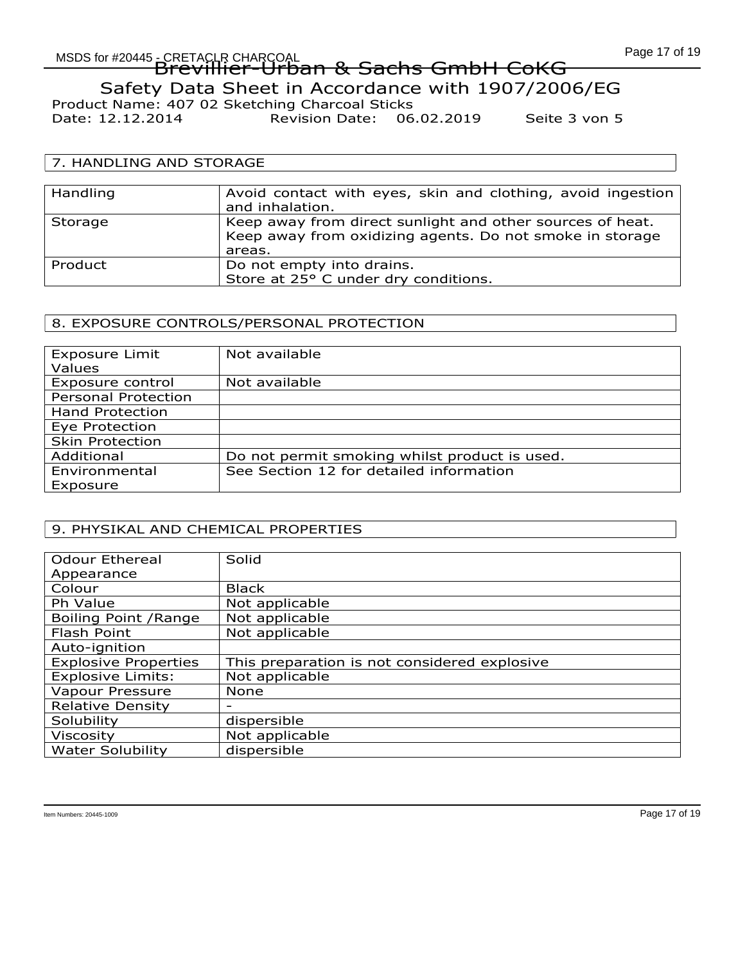# Page 17 of 19<br>MSDS for #20445 - CRETACLR CHARCOAL COMPANY COMPUTER CHARGOAL EREIAUR CHARGOAL<br>Brevillier-Urban & Sachs GmbH CoKG Safety Data Sheet in Accordance with 1907/2006/EG Product Name: 407 02 Sketching Charcoal Sticks Date: 12.12.2014 Revision Date: 06.02.2019 Seite 3 von 5

# 7. HANDLING AND STORAGE

| Handling | Avoid contact with eyes, skin and clothing, avoid ingestion<br>and inhalation.                                                  |
|----------|---------------------------------------------------------------------------------------------------------------------------------|
| Storage  | Keep away from direct sunlight and other sources of heat.<br>Keep away from oxidizing agents. Do not smoke in storage<br>areas. |
| Product  | Do not empty into drains.<br>Store at 25° C under dry conditions.                                                               |

# 8. EXPOSURE CONTROLS/PERSONAL PROTECTION

| <b>Exposure Limit</b>      | Not available                                 |
|----------------------------|-----------------------------------------------|
| Values                     |                                               |
| Exposure control           | Not available                                 |
| <b>Personal Protection</b> |                                               |
| <b>Hand Protection</b>     |                                               |
| Eye Protection             |                                               |
| <b>Skin Protection</b>     |                                               |
| Additional                 | Do not permit smoking whilst product is used. |
| Environmental              | See Section 12 for detailed information       |
| Exposure                   |                                               |

#### 9. PHYSIKAL AND CHEMICAL PROPERTIES

| <b>Odour Ethereal</b>       | Solid                                        |
|-----------------------------|----------------------------------------------|
| Appearance                  |                                              |
| Colour                      | <b>Black</b>                                 |
| Ph Value                    | Not applicable                               |
| Boiling Point / Range       | Not applicable                               |
| Flash Point                 | Not applicable                               |
| Auto-ignition               |                                              |
| <b>Explosive Properties</b> | This preparation is not considered explosive |
| <b>Explosive Limits:</b>    | Not applicable                               |
| Vapour Pressure             | <b>None</b>                                  |
| <b>Relative Density</b>     |                                              |
| Solubility                  | dispersible                                  |
| <b>Viscosity</b>            | Not applicable                               |
| <b>Water Solubility</b>     | dispersible                                  |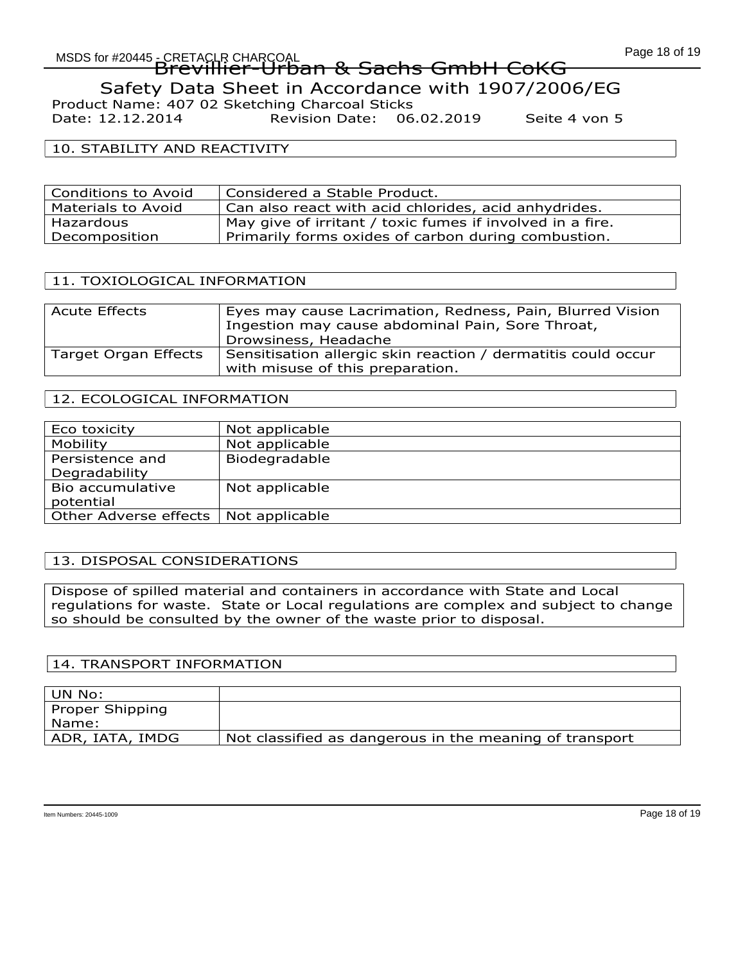# Page 18 of 19<br>MSDS for #20445 - CRETACLR CHARCOAL And COMPUTED CONTROLLED PAGE 11 OF NACH EREIAUR CHARGOAL<br>Brevillier-Urban & Sachs GmbH CoKG Safety Data Sheet in Accordance with 1907/2006/EG Product Name: 407 02 Sketching Charcoal Sticks

Date: 12.12.2014 Revision Date: 06.02.2019 Seite 4 von 5

### 10. STABILITY AND REACTIVITY

| Conditions to Avoid | Considered a Stable Product.                              |
|---------------------|-----------------------------------------------------------|
| Materials to Avoid  | Can also react with acid chlorides, acid anhydrides.      |
| Hazardous           | May give of irritant / toxic fumes if involved in a fire. |
| Decomposition       | Primarily forms oxides of carbon during combustion.       |

# 11. TOXIOLOGICAL INFORMATION

| <b>Acute Effects</b> | Eyes may cause Lacrimation, Redness, Pain, Blurred Vision<br>Ingestion may cause abdominal Pain, Sore Throat,<br>Drowsiness, Headache |
|----------------------|---------------------------------------------------------------------------------------------------------------------------------------|
| Target Organ Effects | Sensitisation allergic skin reaction / dermatitis could occur<br>with misuse of this preparation.                                     |

# 12. ECOLOGICAL INFORMATION

| Eco toxicity          | Not applicable |
|-----------------------|----------------|
| Mobility              | Not applicable |
| Persistence and       | Biodegradable  |
| Degradability         |                |
| Bio accumulative      | Not applicable |
| potential             |                |
| Other Adverse effects | Not applicable |

#### 13. DISPOSAL CONSIDERATIONS

Dispose of spilled material and containers in accordance with State and Local regulations for waste. State or Local regulations are complex and subject to change so should be consulted by the owner of the waste prior to disposal.

#### 14. TRANSPORT INFORMATION

| ' UN No:        |                                                         |
|-----------------|---------------------------------------------------------|
| Proper Shipping |                                                         |
| Name:           |                                                         |
| ADR, IATA, IMDG | Not classified as dangerous in the meaning of transport |